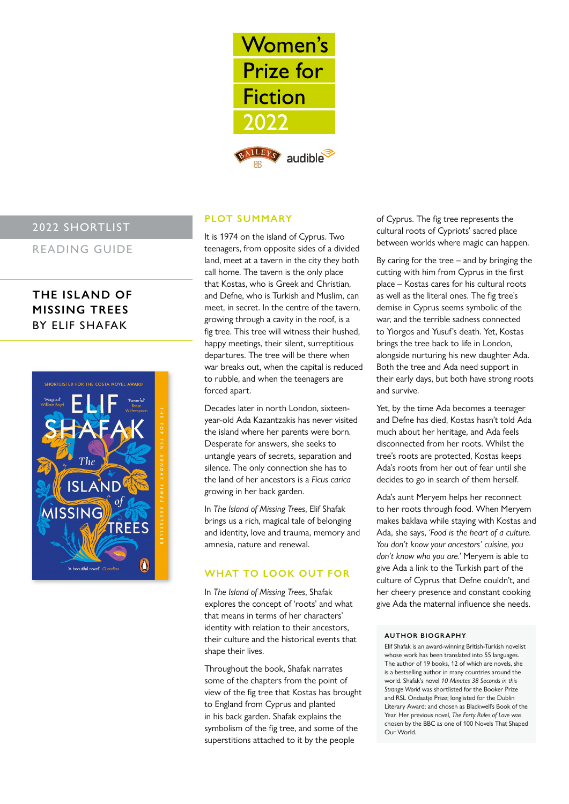

## 2022 SHORTLIST

READING GUIDE

# **THE ISLAND OF MISSING TREES** BY ELIF SHAFAK



## **PLOT SUMMARY**

It is 1974 on the island of Cyprus. Two teenagers, from opposite sides of a divided land, meet at a tavern in the city they both call home. The tavern is the only place that Kostas, who is Greek and Christian, and Defne, who is Turkish and Muslim, can meet, in secret. In the centre of the tavern, growing through a cavity in the roof, is a fig tree. This tree will witness their hushed, happy meetings, their silent, surreptitious departures. The tree will be there when war breaks out, when the capital is reduced to rubble, and when the teenagers are forced apart.

Decades later in north London, sixteenyear-old Ada Kazantzakis has never visited the island where her parents were born. Desperate for answers, she seeks to untangle years of secrets, separation and silence. The only connection she has to the land of her ancestors is a *Ficus carica* growing in her back garden.

In *The Island of Missing Trees*, Elif Shafak brings us a rich, magical tale of belonging and identity, love and trauma, memory and amnesia, nature and renewal.

### **WHAT TO LOOK OUT FOR**

In *The Island of Missing Trees*, Shafak explores the concept of 'roots' and what that means in terms of her characters' identity with relation to their ancestors, their culture and the historical events that shape their lives.

Throughout the book, Shafak narrates some of the chapters from the point of view of the fig tree that Kostas has brought to England from Cyprus and planted in his back garden. Shafak explains the symbolism of the fig tree, and some of the superstitions attached to it by the people

of Cyprus. The fig tree represents the cultural roots of Cypriots' sacred place between worlds where magic can happen.

By caring for the tree  $-$  and by bringing the cutting with him from Cyprus in the first place – Kostas cares for his cultural roots as well as the literal ones. The fig tree's demise in Cyprus seems symbolic of the war, and the terrible sadness connected to Yiorgos and Yusuf's death. Yet, Kostas brings the tree back to life in London, alongside nurturing his new daughter Ada. Both the tree and Ada need support in their early days, but both have strong roots and survive.

Yet, by the time Ada becomes a teenager and Defne has died, Kostas hasn't told Ada much about her heritage, and Ada feels disconnected from her roots. Whilst the tree's roots are protected, Kostas keeps Ada's roots from her out of fear until she decides to go in search of them herself.

Ada's aunt Meryem helps her reconnect to her roots through food. When Meryem makes baklava while staying with Kostas and Ada, she says, *'Food is the heart of a culture. You don't know your ancestors' cuisine, you don't know who you are.'* Meryem is able to give Ada a link to the Turkish part of the culture of Cyprus that Defne couldn't, and her cheery presence and constant cooking give Ada the maternal influence she needs.

#### **AUTHOR BIOGR APHY**

Elif Shafak is an award-winning British-Turkish novelist whose work has been translated into 55 languages. The author of 19 books, 12 of which are novels, she is a bestselling author in many countries around the world. Shafak's novel *10 Minutes 38 Seconds in this Strange World* was shortlisted for the Booker Prize and RSL Ondaatje Prize; longlisted for the Dublin Literary Award; and chosen as Blackwell's Book of the Year. Her previous novel, *The Forty Rules of Love* was chosen by the BBC as one of 100 Novels That Shaped Our World.